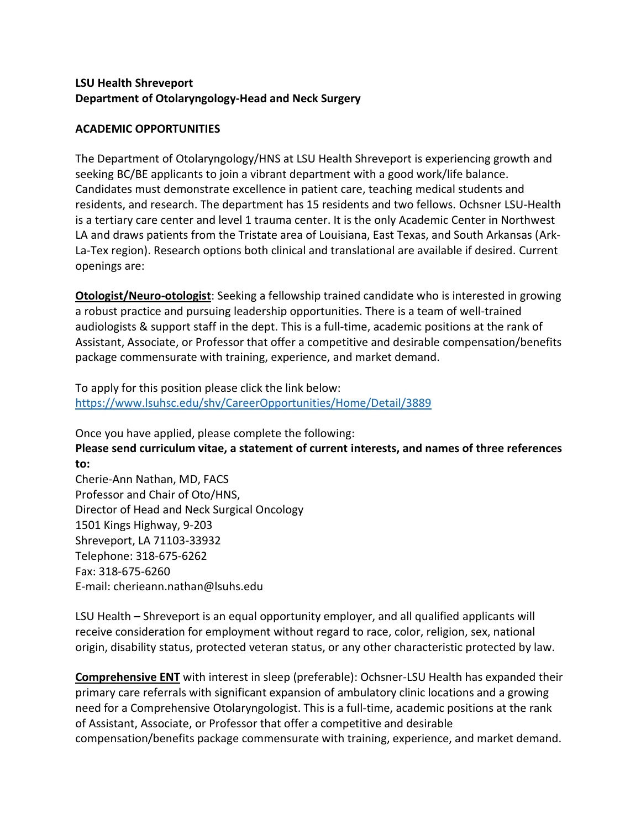## **LSU Health Shreveport Department of Otolaryngology-Head and Neck Surgery**

## **ACADEMIC OPPORTUNITIES**

The Department of Otolaryngology/HNS at LSU Health Shreveport is experiencing growth and seeking BC/BE applicants to join a vibrant department with a good work/life balance. Candidates must demonstrate excellence in patient care, teaching medical students and residents, and research. The department has 15 residents and two fellows. Ochsner LSU-Health is a tertiary care center and level 1 trauma center. It is the only Academic Center in Northwest LA and draws patients from the Tristate area of Louisiana, East Texas, and South Arkansas (Ark-La-Tex region). Research options both clinical and translational are available if desired. Current openings are:

**Otologist/Neuro-otologist**: Seeking a fellowship trained candidate who is interested in growing a robust practice and pursuing leadership opportunities. There is a team of well-trained audiologists & support staff in the dept. This is a full-time, academic positions at the rank of Assistant, Associate, or Professor that offer a competitive and desirable compensation/benefits package commensurate with training, experience, and market demand.

To apply for this position please click the link below: <https://www.lsuhsc.edu/shv/CareerOpportunities/Home/Detail/3889>

Once you have applied, please complete the following: **Please send curriculum vitae, a statement of current interests, and names of three references to:**

Cherie-Ann Nathan, MD, FACS Professor and Chair of Oto/HNS, Director of Head and Neck Surgical Oncology 1501 Kings Highway, 9-203 Shreveport, LA 71103-33932 Telephone: 318-675-6262 Fax: 318-675-6260 E-mail: cherieann.nathan@lsuhs.edu

LSU Health – Shreveport is an equal opportunity employer, and all qualified applicants will receive consideration for employment without regard to race, color, religion, sex, national origin, disability status, protected veteran status, or any other characteristic protected by law.

**Comprehensive ENT** with interest in sleep (preferable): Ochsner-LSU Health has expanded their primary care referrals with significant expansion of ambulatory clinic locations and a growing need for a Comprehensive Otolaryngologist. This is a full-time, academic positions at the rank of Assistant, Associate, or Professor that offer a competitive and desirable compensation/benefits package commensurate with training, experience, and market demand.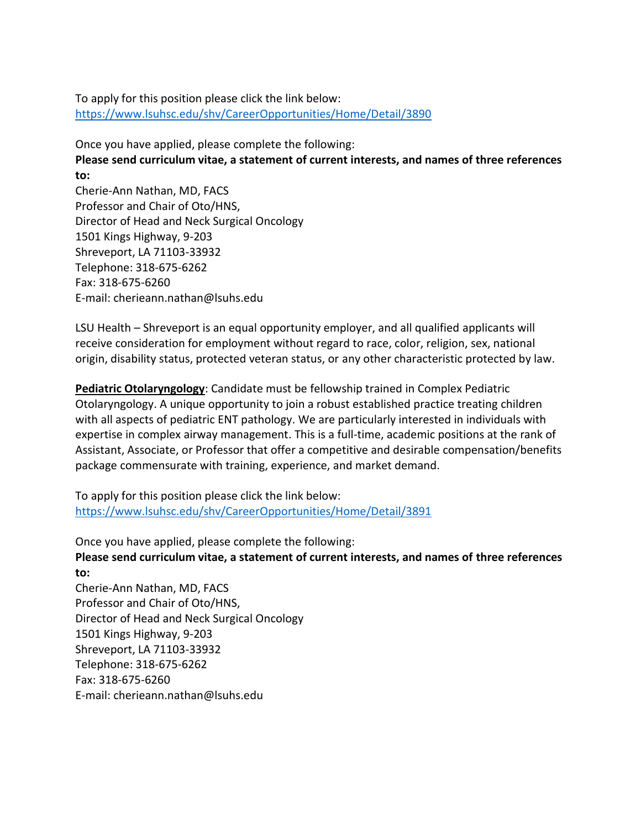To apply for this position please click the link below: <https://www.lsuhsc.edu/shv/CareerOpportunities/Home/Detail/3890>

Once you have applied, please complete the following: **Please send curriculum vitae, a statement of current interests, and names of three references to:** Cherie-Ann Nathan, MD, FACS Professor and Chair of Oto/HNS, Director of Head and Neck Surgical Oncology 1501 Kings Highway, 9-203 Shreveport, LA 71103-33932

Telephone: 318-675-6262 Fax: 318-675-6260 E-mail: cherieann.nathan@lsuhs.edu

LSU Health – Shreveport is an equal opportunity employer, and all qualified applicants will receive consideration for employment without regard to race, color, religion, sex, national origin, disability status, protected veteran status, or any other characteristic protected by law.

**Pediatric Otolaryngology**: Candidate must be fellowship trained in Complex Pediatric Otolaryngology. A unique opportunity to join a robust established practice treating children with all aspects of pediatric ENT pathology. We are particularly interested in individuals with expertise in complex airway management. This is a full-time, academic positions at the rank of Assistant, Associate, or Professor that offer a competitive and desirable compensation/benefits package commensurate with training, experience, and market demand.

To apply for this position please click the link below: <https://www.lsuhsc.edu/shv/CareerOpportunities/Home/Detail/3891>

Once you have applied, please complete the following: **Please send curriculum vitae, a statement of current interests, and names of three references to:** Cherie-Ann Nathan, MD, FACS Professor and Chair of Oto/HNS, Director of Head and Neck Surgical Oncology 1501 Kings Highway, 9-203 Shreveport, LA 71103-33932

Telephone: 318-675-6262

Fax: 318-675-6260 E-mail: cherieann.nathan@lsuhs.edu